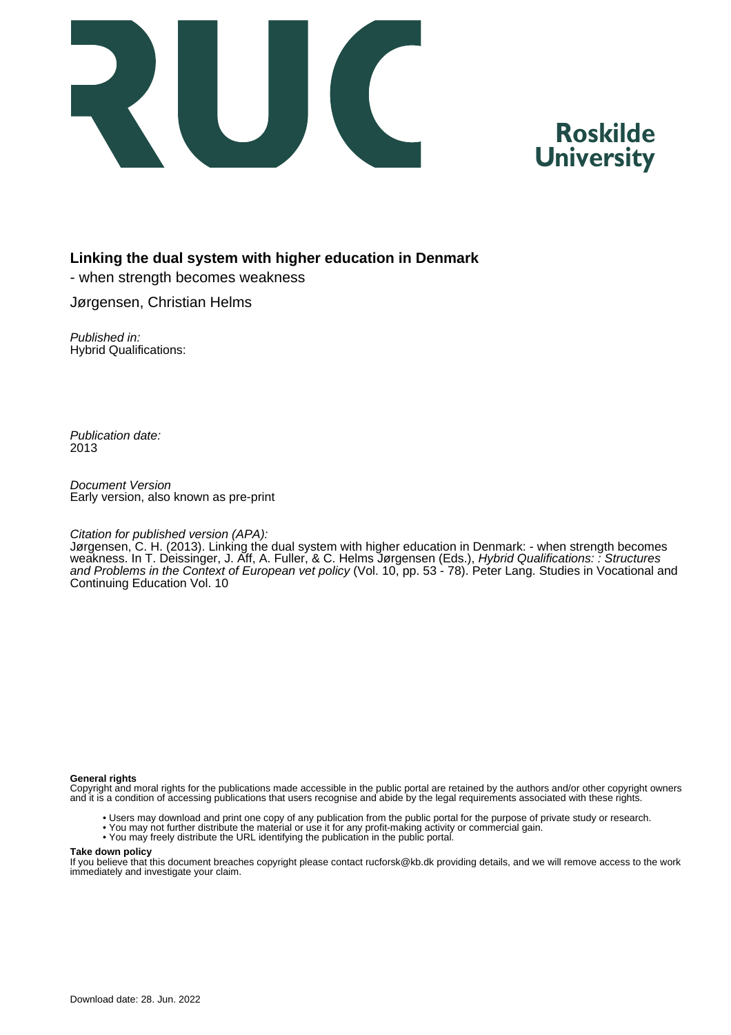

# **Roskilde University**

# **Linking the dual system with higher education in Denmark**

- when strength becomes weakness

Jørgensen, Christian Helms

Published in: Hybrid Qualifications:

Publication date: 2013

Document Version Early version, also known as pre-print

### Citation for published version (APA):

Jørgensen, C. H. (2013). Linking the dual system with higher education in Denmark: - when strength becomes weakness. In T. Deissinger, J. Aff, A. Fuller, & C. Helms Jørgensen (Eds.), Hybrid Qualifications: : Structures and Problems in the Context of European vet policy (Vol. 10, pp. 53 - 78). Peter Lang. Studies in Vocational and Continuing Education Vol. 10

#### **General rights**

Copyright and moral rights for the publications made accessible in the public portal are retained by the authors and/or other copyright owners and it is a condition of accessing publications that users recognise and abide by the legal requirements associated with these rights.

- Users may download and print one copy of any publication from the public portal for the purpose of private study or research.
- You may not further distribute the material or use it for any profit-making activity or commercial gain.
- You may freely distribute the URL identifying the publication in the public portal.

#### **Take down policy**

If you believe that this document breaches copyright please contact rucforsk@kb.dk providing details, and we will remove access to the work immediately and investigate your claim.